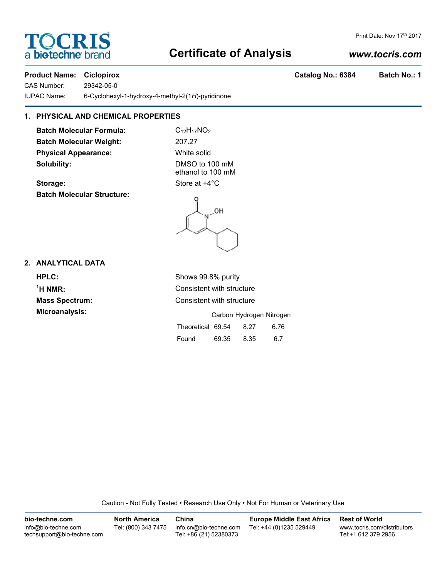# **Certificate of Analysis**

## *www.tocris.com*

### **Product Name: Ciclopirox Catalog No.: 6384 Batch No.: 1**

CAS Number: 29342-05-0

IUPAC Name: 6-Cyclohexyl-1-hydroxy-4-methyl-2(1*H*)-pyridinone

## **1. PHYSICAL AND CHEMICAL PROPERTIES**

**Batch Molecular Formula:** C<sub>12</sub>H<sub>17</sub>NO<sub>2</sub> **Batch Molecular Weight:** 207.27 **Physical Appearance:** White solid **Solubility:** DMSO to 100 mM

**Storage:** Store at  $+4^{\circ}$ C **Batch Molecular Structure:**

ethanol to 100 mM

### **2. ANALYTICAL DATA**

**HPLC:** Shows 99.8% purity **1 Mass Spectrum:** Consistent with structure **Microanalysis:** Carbon Hydrogen Nitrogen

**Consistent with structure** 

|                   |       | Carbon Hydrogen Nitroger |      |
|-------------------|-------|--------------------------|------|
| Theoretical 69.54 |       | 8.27                     | 6.76 |
| Found             | 69.35 | 8.35                     | 6.7  |

Caution - Not Fully Tested • Research Use Only • Not For Human or Veterinary Use

**bio-techne.com** info@bio-techne.com techsupport@bio-techne.com **North America** Tel: (800) 343 7475 **China** info.cn@bio-techne.com Tel: +86 (21) 52380373 **Europe Middle East Africa** Tel: +44 (0)1235 529449 **Rest of World** www.tocris.com/distributors Tel:+1 612 379 2956